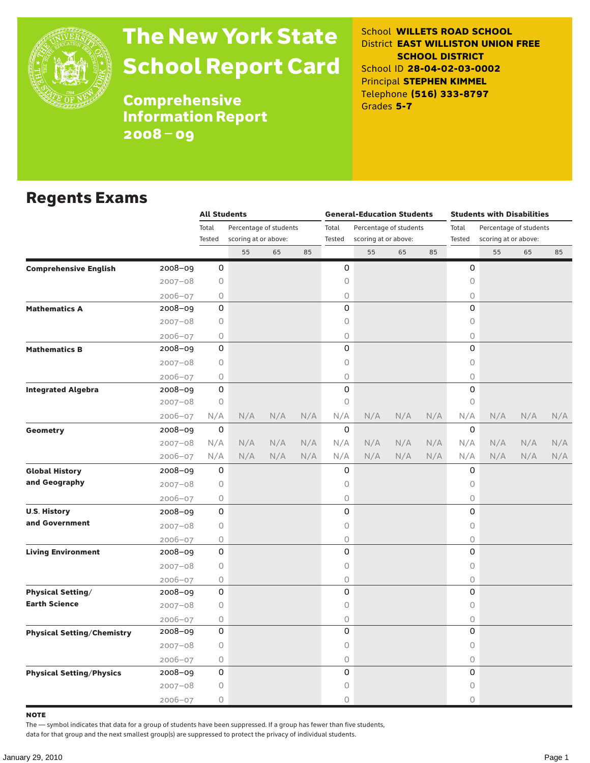

# The New York State School Report Card

School **WILLETS ROAD SCHOOL** District **EAST WILLISTON UNION FREE SCHOOL DISTRICT** School ID **28-04-02-03-0002** Principal **STEPHEN KIMMEL** Telephone **(516) 333-8797** Grades **5-7**

**Comprehensive** Information Report 2008–09

#### Regents Exams

|                                   |             | <b>All Students</b> |                        |     |     |             | <b>General-Education Students</b> |     |     |             |    |                                                                                                                               |     |
|-----------------------------------|-------------|---------------------|------------------------|-----|-----|-------------|-----------------------------------|-----|-----|-------------|----|-------------------------------------------------------------------------------------------------------------------------------|-----|
|                                   |             | Total               | Percentage of students |     |     | Total       | Percentage of students            |     |     | Total       |    |                                                                                                                               |     |
|                                   |             | Tested              | scoring at or above:   |     |     | Tested      | scoring at or above:              |     |     | Tested      |    |                                                                                                                               |     |
|                                   |             |                     | 55                     | 65  | 85  |             | 55                                | 65  | 85  |             | 55 | 65                                                                                                                            | 85  |
| <b>Comprehensive English</b>      | 2008-09     | 0                   |                        |     |     | 0           |                                   |     |     | 0           |    |                                                                                                                               |     |
|                                   | $2007 - 08$ | 0                   |                        |     |     | 0           |                                   |     |     | 0           |    |                                                                                                                               |     |
|                                   | $2006 - 07$ | 0                   |                        |     |     | 0           |                                   |     |     | $\mathsf O$ |    | <b>Students with Disabilities</b><br>Percentage of students<br>scoring at or above:<br>N/A<br>N/A<br>N/A<br>N/A<br>N/A<br>N/A |     |
| <b>Mathematics A</b>              | 2008-09     | 0                   |                        |     |     | 0           |                                   |     |     | $\Omega$    |    |                                                                                                                               |     |
|                                   | $2007 - 08$ | 0                   |                        |     |     | 0           |                                   |     |     | 0           |    |                                                                                                                               |     |
|                                   | $2006 - 07$ | 0                   |                        |     |     | 0           |                                   |     |     | $\mathsf O$ |    |                                                                                                                               |     |
| <b>Mathematics B</b>              | 2008-09     | 0                   |                        |     |     | 0           |                                   |     |     | 0           |    |                                                                                                                               |     |
|                                   | $2007 - 08$ | 0                   |                        |     |     | 0           |                                   |     |     | $\mathsf O$ |    |                                                                                                                               |     |
|                                   | $2006 - 07$ | 0                   |                        |     |     | 0           |                                   |     |     | $\bigcirc$  |    |                                                                                                                               |     |
| <b>Integrated Algebra</b>         | 2008-09     | 0                   |                        |     |     | 0           |                                   |     |     | 0           |    |                                                                                                                               |     |
|                                   | $2007 - 08$ | 0                   |                        |     |     | 0           |                                   |     |     | 0           |    |                                                                                                                               |     |
|                                   | 2006-07     | N/A                 | N/A                    | N/A | N/A | N/A         | N/A                               | N/A | N/A | N/A         |    |                                                                                                                               | N/A |
| Geometry                          | 2008-09     | 0                   |                        |     |     | $\mathbf 0$ |                                   |     |     | 0           |    |                                                                                                                               |     |
|                                   | $2007 - 08$ | N/A                 | N/A                    | N/A | N/A | N/A         | N/A                               | N/A | N/A | N/A         |    |                                                                                                                               | N/A |
|                                   | 2006-07     | N/A                 | N/A                    | N/A | N/A | N/A         | N/A                               | N/A | N/A | N/A         |    |                                                                                                                               | N/A |
| <b>Global History</b>             | $2008 - 09$ | 0                   |                        |     |     | 0           |                                   |     |     | 0           |    |                                                                                                                               |     |
| and Geography                     | $2007 - 08$ | 0                   |                        |     |     | 0           |                                   |     |     | $\mathsf O$ |    |                                                                                                                               |     |
|                                   | $2006 - 07$ | 0                   |                        |     |     | 0           |                                   |     |     | 0           |    |                                                                                                                               |     |
| <b>U.S. History</b>               | 2008-09     | 0                   |                        |     |     | 0           |                                   |     |     | 0           |    |                                                                                                                               |     |
| and Government                    | $2007 - 08$ | 0                   |                        |     |     | 0           |                                   |     |     | 0           |    |                                                                                                                               |     |
|                                   | $2006 - 07$ | 0                   |                        |     |     | 0           |                                   |     |     | $\bigcirc$  |    |                                                                                                                               |     |
| <b>Living Environment</b>         | 2008-09     | 0                   |                        |     |     | 0           |                                   |     |     | 0           |    |                                                                                                                               |     |
|                                   | $2007 - 08$ | 0                   |                        |     |     | 0           |                                   |     |     | 0           |    |                                                                                                                               |     |
|                                   | $2006 - 07$ | 0                   |                        |     |     | 0           |                                   |     |     | 0           |    |                                                                                                                               |     |
| <b>Physical Setting/</b>          | 2008-09     | 0                   |                        |     |     | 0           |                                   |     |     | 0           |    |                                                                                                                               |     |
| <b>Earth Science</b>              | $2007 - 08$ | 0                   |                        |     |     | 0           |                                   |     |     | 0           |    |                                                                                                                               |     |
|                                   | $2006 - 07$ | 0                   |                        |     |     | 0           |                                   |     |     | 0           |    |                                                                                                                               |     |
| <b>Physical Setting/Chemistry</b> | 2008-09     | 0                   |                        |     |     | 0           |                                   |     |     | 0           |    |                                                                                                                               |     |
|                                   | $2007 - 08$ | 0                   |                        |     |     | 0           |                                   |     |     | $\mathsf O$ |    |                                                                                                                               |     |
|                                   | $2006 - 07$ | 0                   |                        |     |     | 0           |                                   |     |     | $\bigcirc$  |    |                                                                                                                               |     |
| <b>Physical Setting/Physics</b>   | 2008-09     | 0                   |                        |     |     | 0           |                                   |     |     | 0           |    |                                                                                                                               |     |
|                                   | $2007 - 08$ | 0                   |                        |     |     | 0           |                                   |     |     | $\mathsf O$ |    |                                                                                                                               |     |
|                                   | $2006 - 07$ | 0                   |                        |     |     | 0           |                                   |     |     | $\circ$     |    |                                                                                                                               |     |

note

The — symbol indicates that data for a group of students have been suppressed. If a group has fewer than five students,

data for that group and the next smallest group(s) are suppressed to protect the privacy of individual students.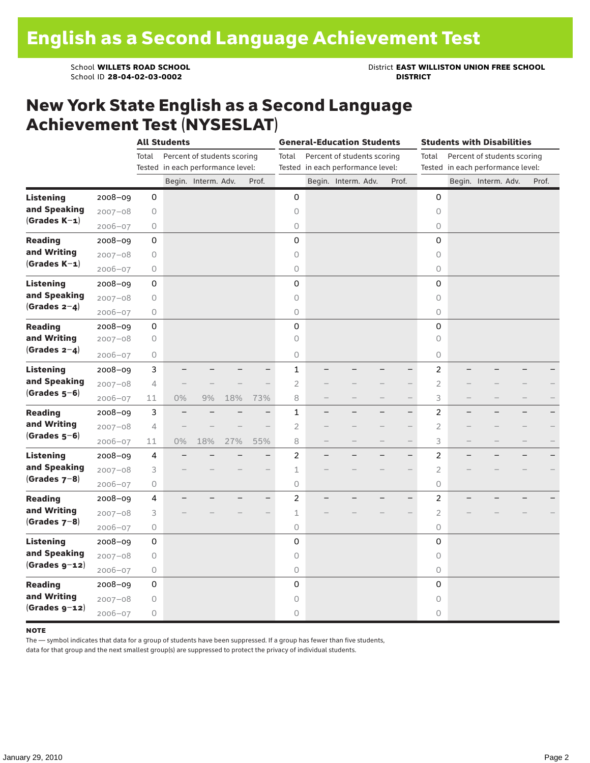School ID 28-04-02-03-0002

School **WILLETS ROAD SCHOOL**<br>School ID 28-04-02-03-0002<br>**DISTRICT** DISTRICT

### New York State English as a Second Language Achievement Test (NYSESLAT)

|                                |             |                | <b>All Students</b>               |                             |     |                          |                | <b>General-Education Students</b>                                |                          |                | <b>Students with Disabilities</b><br>Percent of students scoring<br>Tested in each performance level:<br>Begin. Interm. Adv. |  |       |  |
|--------------------------------|-------------|----------------|-----------------------------------|-----------------------------|-----|--------------------------|----------------|------------------------------------------------------------------|--------------------------|----------------|------------------------------------------------------------------------------------------------------------------------------|--|-------|--|
|                                |             | Total          | Tested in each performance level: | Percent of students scoring |     |                          | Total          | Percent of students scoring<br>Tested in each performance level: |                          | Total          |                                                                                                                              |  |       |  |
|                                |             |                |                                   | Begin. Interm. Adv.         |     | Prof.                    |                | Begin. Interm. Adv.                                              | Prof.                    |                |                                                                                                                              |  | Prof. |  |
| <b>Listening</b>               | 2008-09     | 0              |                                   |                             |     |                          | 0              |                                                                  |                          | 0              |                                                                                                                              |  |       |  |
| and Speaking                   | $2007 - 08$ | $\bigcirc$     |                                   |                             |     |                          | 0              |                                                                  |                          | 0              |                                                                                                                              |  |       |  |
| $(Grades K-1)$                 | $2006 - 07$ | $\bigcirc$     |                                   |                             |     |                          | 0              |                                                                  |                          | 0              |                                                                                                                              |  |       |  |
| <b>Reading</b>                 | 2008-09     | 0              |                                   |                             |     |                          | 0              |                                                                  |                          | 0              |                                                                                                                              |  |       |  |
| and Writing                    | $2007 - 08$ | 0              |                                   |                             |     |                          | 0              |                                                                  |                          | 0              |                                                                                                                              |  |       |  |
| $(Grades K-1)$                 | $2006 - 07$ | $\bigcirc$     |                                   |                             |     |                          | $\mathsf O$    |                                                                  |                          | 0              |                                                                                                                              |  |       |  |
| Listening                      | $2008 - 09$ | 0              |                                   |                             |     |                          | 0              |                                                                  |                          | 0              |                                                                                                                              |  |       |  |
| and Speaking                   | $2007 - 08$ | $\circ$        |                                   |                             |     |                          | 0              |                                                                  |                          | $\circ$        |                                                                                                                              |  |       |  |
| (Grades $2-4$ )                | $2006 - 07$ | $\circ$        |                                   |                             |     |                          | 0              |                                                                  |                          | $\circ$        |                                                                                                                              |  |       |  |
| <b>Reading</b>                 | $2008 - 09$ | 0              |                                   |                             |     |                          | 0              |                                                                  |                          | 0              |                                                                                                                              |  |       |  |
| and Writing                    | $2007 - 08$ | $\mathsf O$    |                                   |                             |     |                          | 0              |                                                                  |                          | $\circ$        |                                                                                                                              |  |       |  |
| $(Grades 2-4)$                 | $2006 - 07$ | 0              |                                   |                             |     |                          | $\mathsf O$    |                                                                  |                          | 0              |                                                                                                                              |  |       |  |
| <b>Listening</b>               | 2008-09     | 3              |                                   |                             |     |                          | $\mathbf 1$    |                                                                  | $\overline{\phantom{0}}$ | $\overline{c}$ |                                                                                                                              |  |       |  |
| and Speaking<br>$(Grades 5-6)$ | $2007 - 08$ | $\overline{4}$ |                                   |                             |     |                          | $\overline{c}$ |                                                                  |                          | $\overline{c}$ |                                                                                                                              |  |       |  |
|                                | $2006 - 07$ | 11             | 0%                                | 9%                          | 18% | 73%                      | 8              |                                                                  | $\overline{\phantom{0}}$ | 3              |                                                                                                                              |  |       |  |
| <b>Reading</b>                 | $2008 - 09$ | 3              |                                   |                             |     |                          | 1              |                                                                  | $\overline{\phantom{0}}$ | 2              |                                                                                                                              |  |       |  |
| and Writing                    | $2007 - 08$ | $\overline{4}$ |                                   |                             |     |                          | $\overline{2}$ |                                                                  |                          | $\overline{2}$ |                                                                                                                              |  |       |  |
| $(Grades 5-6)$                 | $2006 - 07$ | 11             | 0%                                | 18%                         | 27% | 55%                      | 8              |                                                                  |                          | 3              |                                                                                                                              |  |       |  |
| <b>Listening</b>               | 2008-09     | 4              |                                   |                             |     | $\overline{\phantom{0}}$ | $\overline{2}$ |                                                                  | $\overline{\phantom{0}}$ | $\overline{c}$ |                                                                                                                              |  |       |  |
| and Speaking                   | $2007 - 08$ | 3              |                                   |                             |     |                          | 1              |                                                                  |                          | 2              |                                                                                                                              |  |       |  |
| $(Grades 7-8)$                 | $2006 - 07$ | 0              |                                   |                             |     |                          | 0              |                                                                  |                          | 0              |                                                                                                                              |  |       |  |
| <b>Reading</b>                 | $2008 - 09$ | 4              |                                   |                             |     |                          | $\overline{2}$ |                                                                  |                          | $\overline{c}$ |                                                                                                                              |  |       |  |
| and Writing                    | $2007 - 08$ | 3              |                                   |                             |     |                          | $\mathbf 1$    |                                                                  |                          | $\overline{2}$ |                                                                                                                              |  |       |  |
| $(Grades 7-8)$                 | $2006 - 07$ | 0              |                                   |                             |     |                          | $\circ$        |                                                                  |                          | $\circ$        |                                                                                                                              |  |       |  |
| <b>Listening</b>               | $2008 - 09$ | 0              |                                   |                             |     |                          | 0              |                                                                  |                          | 0              |                                                                                                                              |  |       |  |
| and Speaking                   | $2007 - 08$ | 0              |                                   |                             |     |                          | $\circ$        |                                                                  |                          | 0              |                                                                                                                              |  |       |  |
| $(Grades g-12)$                | $2006 - 07$ | $\bigcirc$     |                                   |                             |     |                          | $\bigcirc$     |                                                                  |                          | 0              |                                                                                                                              |  |       |  |
| <b>Reading</b>                 | $2008 - 09$ | 0              |                                   |                             |     |                          | 0              |                                                                  |                          | 0              |                                                                                                                              |  |       |  |
| and Writing                    | $2007 - 08$ | $\bigcirc$     |                                   |                             |     |                          | 0              |                                                                  |                          | $\circ$        |                                                                                                                              |  |       |  |
| $(Grades g-12)$                | $2006 - 07$ | 0              |                                   |                             |     |                          | $\Omega$       |                                                                  |                          | 0              |                                                                                                                              |  |       |  |

#### **NOTE**

The — symbol indicates that data for a group of students have been suppressed. If a group has fewer than five students,

data for that group and the next smallest group(s) are suppressed to protect the privacy of individual students.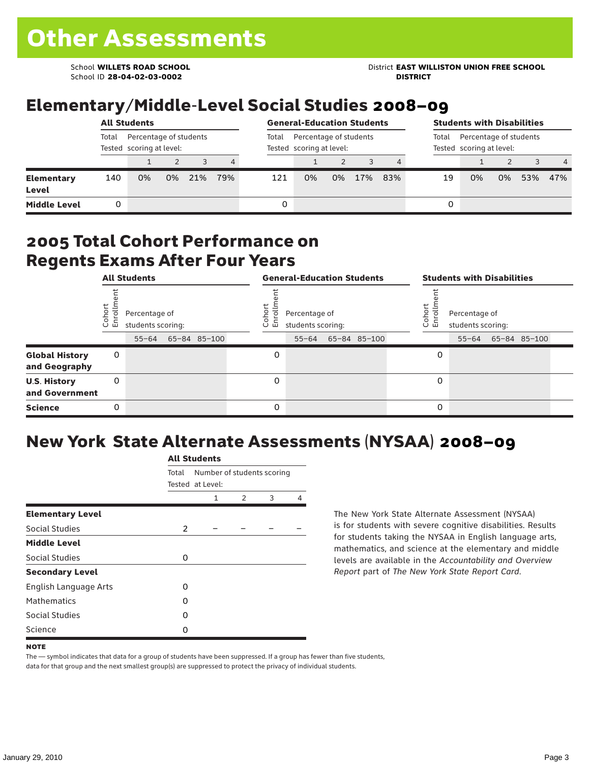School ID **28-04-02-03-0002 DISTRICT**

School **WILLETS ROAD SCHOOL** District **EAST WILLISTON UNION FREE SCHOOL**

## Elementary/Middle-Level Social Studies 2008–09

|                            |                                                             | <b>All Students</b> |    | <b>General-Education Students</b> |     |       | <b>Students with Disabilities</b>                  |    |     |                                                             |    |    |    |     |                |
|----------------------------|-------------------------------------------------------------|---------------------|----|-----------------------------------|-----|-------|----------------------------------------------------|----|-----|-------------------------------------------------------------|----|----|----|-----|----------------|
|                            | Total<br>Percentage of students<br>Tested scoring at level: |                     |    |                                   |     | Total | Percentage of students<br>Tested scoring at level: |    |     | Percentage of students<br>Total<br>Tested scoring at level: |    |    |    |     |                |
|                            |                                                             |                     |    |                                   | 4   |       |                                                    |    |     | 4                                                           |    |    |    |     | $\overline{4}$ |
| <b>Elementary</b><br>Level | 140                                                         | 0%                  | 0% | 21%                               | 79% | 121   | 0%                                                 | 0% | 17% | 83%                                                         | 19 | 0% | 0% | 53% | 47%            |
| <b>Middle Level</b>        |                                                             |                     |    |                                   |     | 0     |                                                    |    |     |                                                             | 0  |    |    |     |                |

#### 2005 Total Cohort Performance on Regents Exams After Four Years

|                                        |                 | <b>All Students</b>                             |              |                 | <b>General-Education Students</b>               |              |                 | <b>Students with Disabilities</b>               |              |  |
|----------------------------------------|-----------------|-------------------------------------------------|--------------|-----------------|-------------------------------------------------|--------------|-----------------|-------------------------------------------------|--------------|--|
|                                        | Cohoi<br>Enroll | Percentage of<br>students scoring:<br>$55 - 64$ | 65-84 85-100 | Coho<br>o,<br>巴 | Percentage of<br>students scoring:<br>$55 - 64$ | 65-84 85-100 | Coho<br>o,<br>멷 | Percentage of<br>students scoring:<br>$55 - 64$ | 65-84 85-100 |  |
| <b>Global History</b><br>and Geography | 0               |                                                 |              | 0               |                                                 |              | 0               |                                                 |              |  |
| <b>U.S. History</b><br>and Government  | 0               |                                                 |              | 0               |                                                 |              | 0               |                                                 |              |  |
| <b>Science</b>                         | 0               |                                                 |              | 0               |                                                 |              | 0               |                                                 |              |  |

# New York State Alternate Assessments (NYSAA) 2008–09

|                         |          | <b>All Students</b>                            |               |   |   |
|-------------------------|----------|------------------------------------------------|---------------|---|---|
|                         | Total    | Number of students scoring<br>Tested at Level: |               |   |   |
|                         |          | 1                                              | $\mathcal{P}$ | 3 | 4 |
| <b>Elementary Level</b> |          |                                                |               |   |   |
| Social Studies          | 2        |                                                |               |   |   |
| <b>Middle Level</b>     |          |                                                |               |   |   |
| Social Studies          | $\Omega$ |                                                |               |   |   |
| <b>Secondary Level</b>  |          |                                                |               |   |   |
| English Language Arts   | O        |                                                |               |   |   |
| <b>Mathematics</b>      | O        |                                                |               |   |   |
| <b>Social Studies</b>   | $\Omega$ |                                                |               |   |   |
| Science                 | O        |                                                |               |   |   |

The New York State Alternate Assessment (NYSAA) is for students with severe cognitive disabilities. Results for students taking the NYSAA in English language arts, mathematics, and science at the elementary and middle levels are available in the *Accountability and Overview Report* part of *The New York State Report Card*.

The — symbol indicates that data for a group of students have been suppressed. If a group has fewer than five students, data for that group and the next smallest group(s) are suppressed to protect the privacy of individual students.

**NOTE**